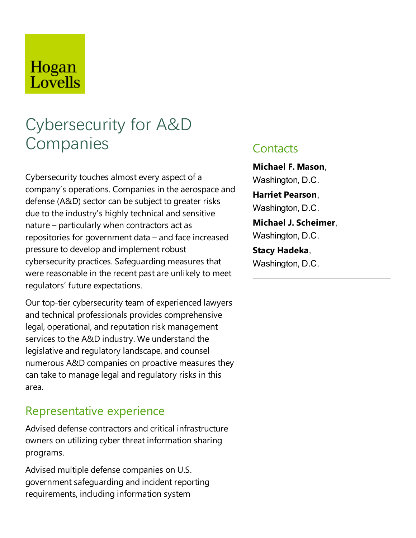## Hogan Lovells

# Cybersecurity for A&D **Companies**

Cybersecurity touches almost every aspect of a company's operations. Companies in the aerospace and defense (A&D) sector can be subject to greater risks due to the industry's highly technical and sensitive  $natural$  – particularly when contractors act as repositories for government data  $-$  and face increased pressure to develop and implement robust cybersecurity practices. Safeguarding measures that were reasonable in the recent past are unlikely to meet regulators' future expectations.

Our top-tier cybersecurity team of experienced lawyers and technical professionals provides comprehensive legal, operational, and reputation risk management services to the A&D industry. We understand the legislative and regulatory landscape, and counsel numerous A&D companies on proactive measures they can take to manage legal and regulatory risks in this area.

## Representative experience

Advised defense contractors and critical infrastructure owners on utilizing cyber threat information sharing programs.

Advised multiple defense companies on U.S. government safeguarding and incident reporting requirements, including information system

## **Contacts**

**Michael F. Mason**, Washington, D.C. **Harriet Pearson**, Washington, D.C. **Michael J. Scheimer**, Washington, D.C.

**Stacy Hadeka**, Washington, D.C.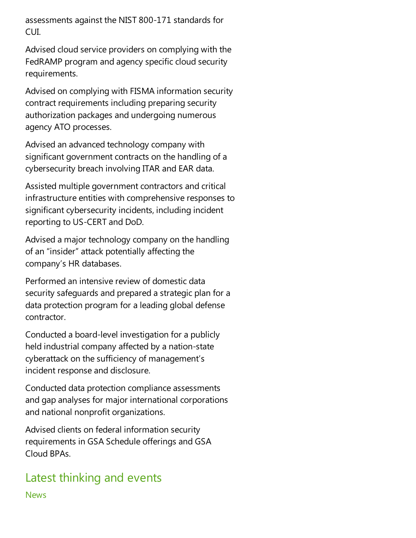assessments against the NIST 800-171 standards for CUI.

Advised cloud service providers on complying with the FedRAMP program and agency specific cloud security requirements.

Advised on complying with FISMA information security contract requirements including preparing security authorization packages and undergoing numerous agency ATO processes.

Advised an advanced technology company with significant government contracts on the handling of a cybersecurity breach involving ITAR and EAR data.

Assisted multiple government contractors and critical infrastructure entities with comprehensive responses to significant cybersecurity incidents, including incident reporting to US-CERT and DoD.

Advised a major technology company on the handling of an "insider" attack potentially affecting the company's HR databases.

Performed an intensive review of domestic data security safeguards and prepared astrategic plan for a data protection program for aleading global defense contractor.

Conducted a board-level investigation for a publicly held industrial company affected by a nation-state cyberattack on the sufficiency of management's incident response and disclosure.

Conducted data protection compliance assessments and gap analyses for major international corporations and national nonprofit organizations.

Advised clients on federal information security requirements in GSA Schedule offerings and GSA Cloud BPAs.

## Latest thinking and events

News